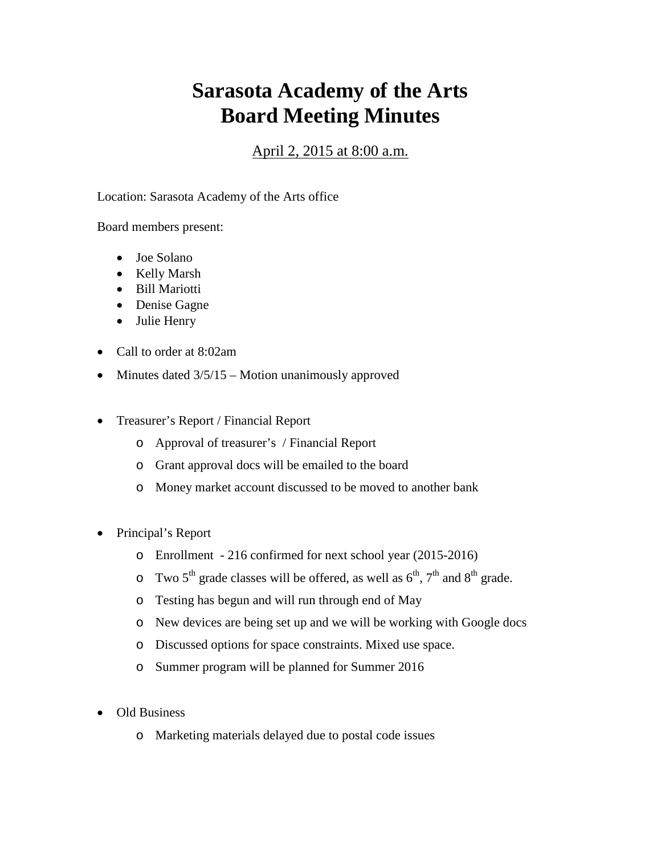## **Sarasota Academy of the Arts Board Meeting Minutes**

## April 2, 2015 at 8:00 a.m.

Location: Sarasota Academy of the Arts office

Board members present:

- Joe Solano
- Kelly Marsh
- Bill Mariotti
- Denise Gagne
- Julie Henry
- Call to order at 8:02am
- Minutes dated  $3/5/15$  Motion unanimously approved
- Treasurer's Report / Financial Report
	- o Approval of treasurer's / Financial Report
	- o Grant approval docs will be emailed to the board
	- o Money market account discussed to be moved to another bank
- Principal's Report
	- o Enrollment 216 confirmed for next school year (2015-2016)
	- $\circ$  Two 5<sup>th</sup> grade classes will be offered, as well as 6<sup>th</sup>, 7<sup>th</sup> and 8<sup>th</sup> grade.
	- o Testing has begun and will run through end of May
	- o New devices are being set up and we will be working with Google docs
	- o Discussed options for space constraints. Mixed use space.
	- o Summer program will be planned for Summer 2016
- Old Business
	- o Marketing materials delayed due to postal code issues